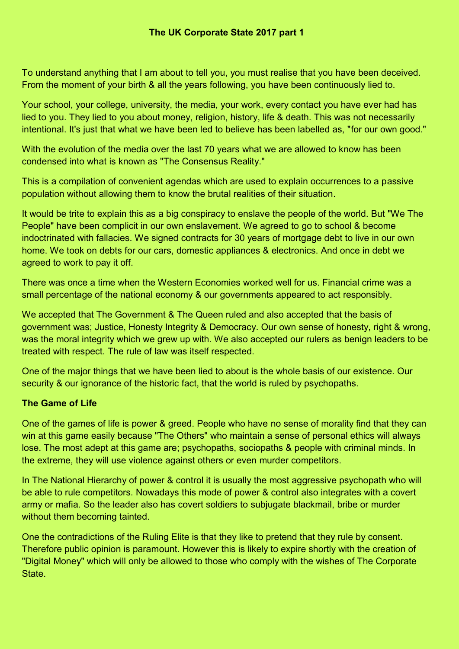To understand anything that I am about to tell you, you must realise that you have been deceived. From the moment of your birth & all the years following, you have been continuously lied to.

Your school, your college, university, the media, your work, every contact you have ever had has lied to you. They lied to you about money, religion, history, life & death. This was not necessarily intentional. It's just that what we have been led to believe has been labelled as, "for our own good."

With the evolution of the media over the last 70 years what we are allowed to know has been condensed into what is known as "The Consensus Reality."

This is a compilation of convenient agendas which are used to explain occurrences to a passive population without allowing them to know the brutal realities of their situation.

It would be trite to explain this as a big conspiracy to enslave the people of the world. But "We The People" have been complicit in our own enslavement. We agreed to go to school & become indoctrinated with fallacies. We signed contracts for 30 years of mortgage debt to live in our own home. We took on debts for our cars, domestic appliances & electronics. And once in debt we agreed to work to pay it off.

There was once a time when the Western Economies worked well for us. Financial crime was a small percentage of the national economy & our governments appeared to act responsibly.

We accepted that The Government & The Queen ruled and also accepted that the basis of government was; Justice, Honesty Integrity & Democracy. Our own sense of honesty, right & wrong, was the moral integrity which we grew up with. We also accepted our rulers as benign leaders to be treated with respect. The rule of law was itself respected.

One of the major things that we have been lied to about is the whole basis of our existence. Our security & our ignorance of the historic fact, that the world is ruled by psychopaths.

### **The Game of Life**

One of the games of life is power & greed. People who have no sense of morality find that they can win at this game easily because "The Others" who maintain a sense of personal ethics will always lose. The most adept at this game are; psychopaths, sociopaths & people with criminal minds. In the extreme, they will use violence against others or even murder competitors.

In The National Hierarchy of power & control it is usually the most aggressive psychopath who will be able to rule competitors. Nowadays this mode of power & control also integrates with a covert army or mafia. So the leader also has covert soldiers to subjugate blackmail, bribe or murder without them becoming tainted.

One the contradictions of the Ruling Elite is that they like to pretend that they rule by consent. Therefore public opinion is paramount. However this is likely to expire shortly with the creation of "Digital Money" which will only be allowed to those who comply with the wishes of The Corporate State.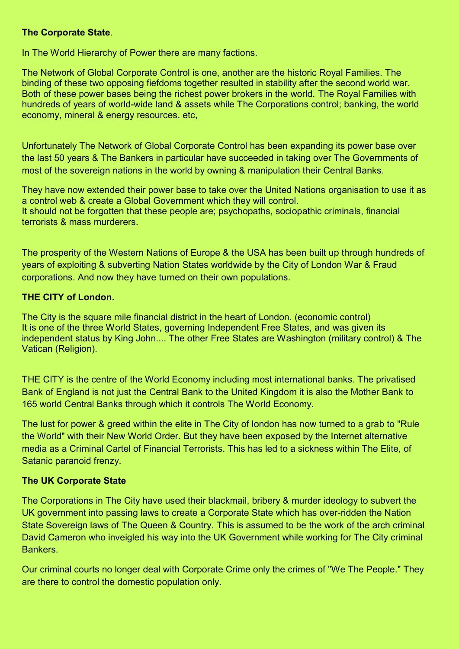#### **The Corporate State**.

In The World Hierarchy of Power there are many factions.

The Network of Global Corporate Control is one, another are the historic Royal Families. The binding of these two opposing fiefdoms together resulted in stability after the second world war. Both of these power bases being the richest power brokers in the world. The Royal Families with hundreds of years of world-wide land & assets while The Corporations control; banking, the world economy, mineral & energy resources. etc,

Unfortunately The Network of Global Corporate Control has been expanding its power base over the last 50 years & The Bankers in particular have succeeded in taking over The Governments of most of the sovereign nations in the world by owning & manipulation their Central Banks.

They have now extended their power base to take over the United Nations organisation to use it as a control web & create a Global Government which they will control. It should not be forgotten that these people are; psychopaths, sociopathic criminals, financial terrorists & mass murderers.

The prosperity of the Western Nations of Europe & the USA has been built up through hundreds of years of exploiting & subverting Nation States worldwide by the City of London War & Fraud corporations. And now they have turned on their own populations.

# **THE CITY of London.**

The City is the square mile financial district in the heart of London. (economic control) It is one of the three World States, governing Independent Free States, and was given its independent status by King John.... The other Free States are Washington (military control) & The Vatican (Religion).

THE CITY is the centre of the World Economy including most international banks. The privatised Bank of England is not just the Central Bank to the United Kingdom it is also the Mother Bank to 165 world Central Banks through which it controls The World Economy.

The lust for power & greed within the elite in The City of london has now turned to a grab to "Rule the World" with their New World Order. But they have been exposed by the Internet alternative media as a Criminal Cartel of Financial Terrorists. This has led to a sickness within The Elite, of Satanic paranoid frenzy.

# **The UK Corporate State**

The Corporations in The City have used their blackmail, bribery & murder ideology to subvert the UK government into passing laws to create a Corporate State which has over-ridden the Nation State Sovereign laws of The Queen & Country. This is assumed to be the work of the arch criminal David Cameron who inveigled his way into the UK Government while working for The City criminal Bankers.

Our criminal courts no longer deal with Corporate Crime only the crimes of "We The People." They are there to control the domestic population only.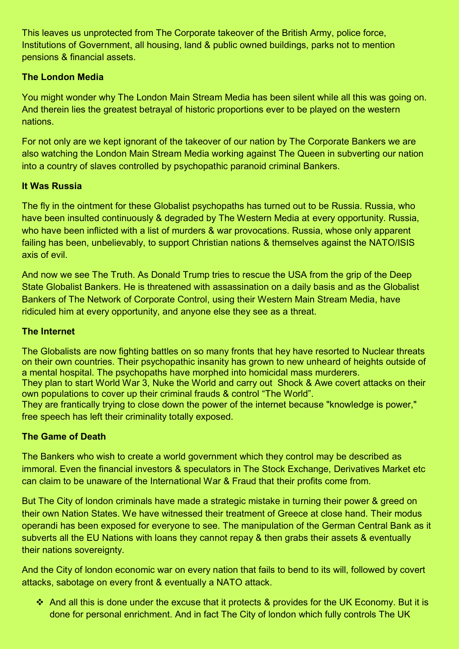This leaves us unprotected from The Corporate takeover of the British Army, police force, Institutions of Government, all housing, land & public owned buildings, parks not to mention pensions & financial assets.

## **The London Media**

You might wonder why The London Main Stream Media has been silent while all this was going on. And therein lies the greatest betrayal of historic proportions ever to be played on the western nations.

For not only are we kept ignorant of the takeover of our nation by The Corporate Bankers we are also watching the London Main Stream Media working against The Queen in subverting our nation into a country of slaves controlled by psychopathic paranoid criminal Bankers.

## **It Was Russia**

The fly in the ointment for these Globalist psychopaths has turned out to be Russia. Russia, who have been insulted continuously & degraded by The Western Media at every opportunity. Russia, who have been inflicted with a list of murders & war provocations. Russia, whose only apparent failing has been, unbelievably, to support Christian nations & themselves against the NATO/ISIS axis of evil.

And now we see The Truth. As Donald Trump tries to rescue the USA from the grip of the Deep State Globalist Bankers. He is threatened with assassination on a daily basis and as the Globalist Bankers of The Network of Corporate Control, using their Western Main Stream Media, have ridiculed him at every opportunity, and anyone else they see as a threat.

### **The Internet**

The Globalists are now fighting battles on so many fronts that hey have resorted to Nuclear threats on their own countries. Their psychopathic insanity has grown to new unheard of heights outside of a mental hospital. The psychopaths have morphed into homicidal mass murderers. They plan to start World War 3, Nuke the World and carry out Shock & Awe covert attacks on their own populations to cover up their criminal frauds & control "The World".

They are frantically trying to close down the power of the internet because "knowledge is power," free speech has left their criminality totally exposed.

# **The Game of Death**

The Bankers who wish to create a world government which they control may be described as immoral. Even the financial investors & speculators in The Stock Exchange, Derivatives Market etc can claim to be unaware of the International War & Fraud that their profits come from.

But The City of london criminals have made a strategic mistake in turning their power & greed on their own Nation States. We have witnessed their treatment of Greece at close hand. Their modus operandi has been exposed for everyone to see. The manipulation of the German Central Bank as it subverts all the EU Nations with loans they cannot repay & then grabs their assets & eventually their nations sovereignty.

And the City of london economic war on every nation that fails to bend to its will, followed by covert attacks, sabotage on every front & eventually a NATO attack.

 And all this is done under the excuse that it protects & provides for the UK Economy. But it is done for personal enrichment. And in fact The City of london which fully controls The UK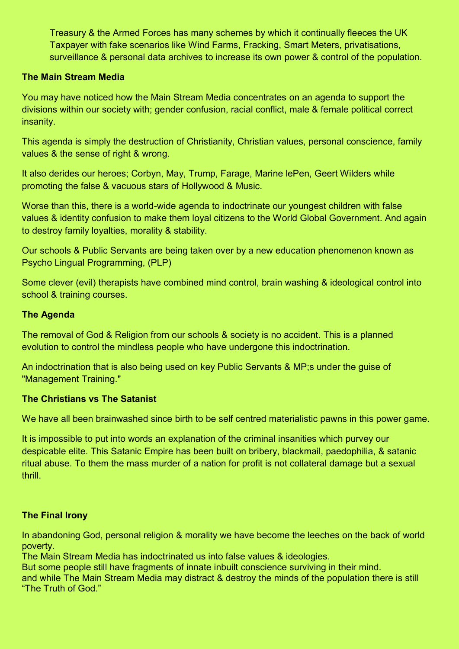Treasury & the Armed Forces has many schemes by which it continually fleeces the UK Taxpayer with fake scenarios like Wind Farms, Fracking, Smart Meters, privatisations, surveillance & personal data archives to increase its own power & control of the population.

### **The Main Stream Media**

You may have noticed how the Main Stream Media concentrates on an agenda to support the divisions within our society with; gender confusion, racial conflict, male & female political correct insanity.

This agenda is simply the destruction of Christianity, Christian values, personal conscience, family values & the sense of right & wrong.

It also derides our heroes; Corbyn, May, Trump, Farage, Marine lePen, Geert Wilders while promoting the false & vacuous stars of Hollywood & Music.

Worse than this, there is a world-wide agenda to indoctrinate our youngest children with false values & identity confusion to make them loyal citizens to the World Global Government. And again to destroy family loyalties, morality & stability.

Our schools & Public Servants are being taken over by a new education phenomenon known as Psycho Lingual Programming, (PLP)

Some clever (evil) therapists have combined mind control, brain washing & ideological control into school & training courses.

### **The Agenda**

The removal of God & Religion from our schools & society is no accident. This is a planned evolution to control the mindless people who have undergone this indoctrination.

An indoctrination that is also being used on key Public Servants & MP;s under the guise of "Management Training."

#### **The Christians vs The Satanist**

We have all been brainwashed since birth to be self centred materialistic pawns in this power game.

It is impossible to put into words an explanation of the criminal insanities which purvey our despicable elite. This Satanic Empire has been built on bribery, blackmail, paedophilia, & satanic ritual abuse. To them the mass murder of a nation for profit is not collateral damage but a sexual thrill.

#### **The Final Irony**

In abandoning God, personal religion & morality we have become the leeches on the back of world poverty.

The Main Stream Media has indoctrinated us into false values & ideologies.

But some people still have fragments of innate inbuilt conscience surviving in their mind.

and while The Main Stream Media may distract & destroy the minds of the population there is still "The Truth of God."